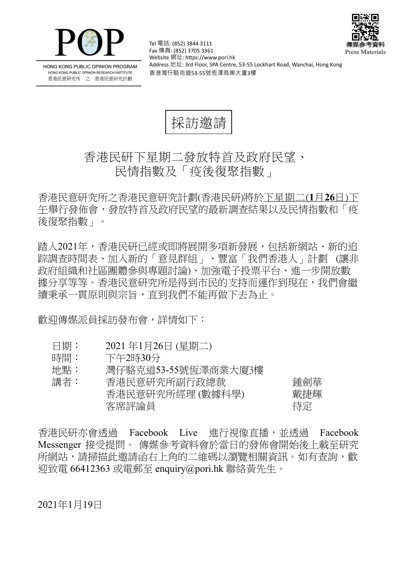



HONG KONG PUBLIC OPINION PROGRAM HONG KONG PUBLIC OPINION RESEARCH INSTITUTE 香港民意研究所 之 香港民意研究計劃

Tel 電話: (852) 3844 3111 Fax 傳真: (852) 3705 3361 Website 網址: https://www.pori.hk Address 地址: 3rd Floor, SPA Centre, 53-55 Lockhart Road, Wanchai, Hong Kong 香港灣仔駱克道53-55號恆澤商業大廈3樓

採訪激請

## 香港民研下星期二發放特首及政府民望、 民情指數及「疫後復聚指數」

香 港 民 意 研 究 所 之 香 港 民 意 研 究 計 劃 (香 港 民 研)將 於 下星期二(**1** 月**26** 日)下 午舉 行 發 佈 會 , 發 放 特 首 及 政 府 民 望 的 最 新 調 查 結 果 以 及 民 情 指 數 和 「疫 後復聚指數」。

踏入2021年,香港民研已經或即將展開多項新發展,包括新網站、新的追 踪調查時間表、加入新的「意見群組」、豐富「我們香港人」計劃(讓非 政府組織和社區團體參與專題討論)、加強電子投票平台、進一步開放數 據分享等等。香港民意研究所是得到市民的支持而運作到現在,我們會繼 續秉承一貫原則與宗旨,直到我們不能再做下去為止。

歡 鸿 傳 媒 派 員 採 訪 發 布 會 , 詳 情 如 下 :

- 日期: 2021年1月26日 (星期二)
- 時間: 下午2時30分
- 地點: 灣仔駱克道53-55號恆澤商業大廈3樓

| 講者: | 香港民意研究所副行政總裁     | 鍾劍華 |
|-----|------------------|-----|
|     | 香港民意研究所經理 (數據科學) | 戴捷輝 |
|     | 客席評論員            | 待定  |

香港民研亦會透過 Facebook Live 進行視像直播,並透過 Facebook Messenger 接受提問。 傳媒參考資料會於當日的發佈會開始後上載至研究 所網站, 請掃描此激請函右上角的二維碼以瀏覽相關資訊。如有杳詢, 歡 迎致電 66412363 或電郵至 enquiry@pori.hk 聯絡黃先生。

2021年1月19日